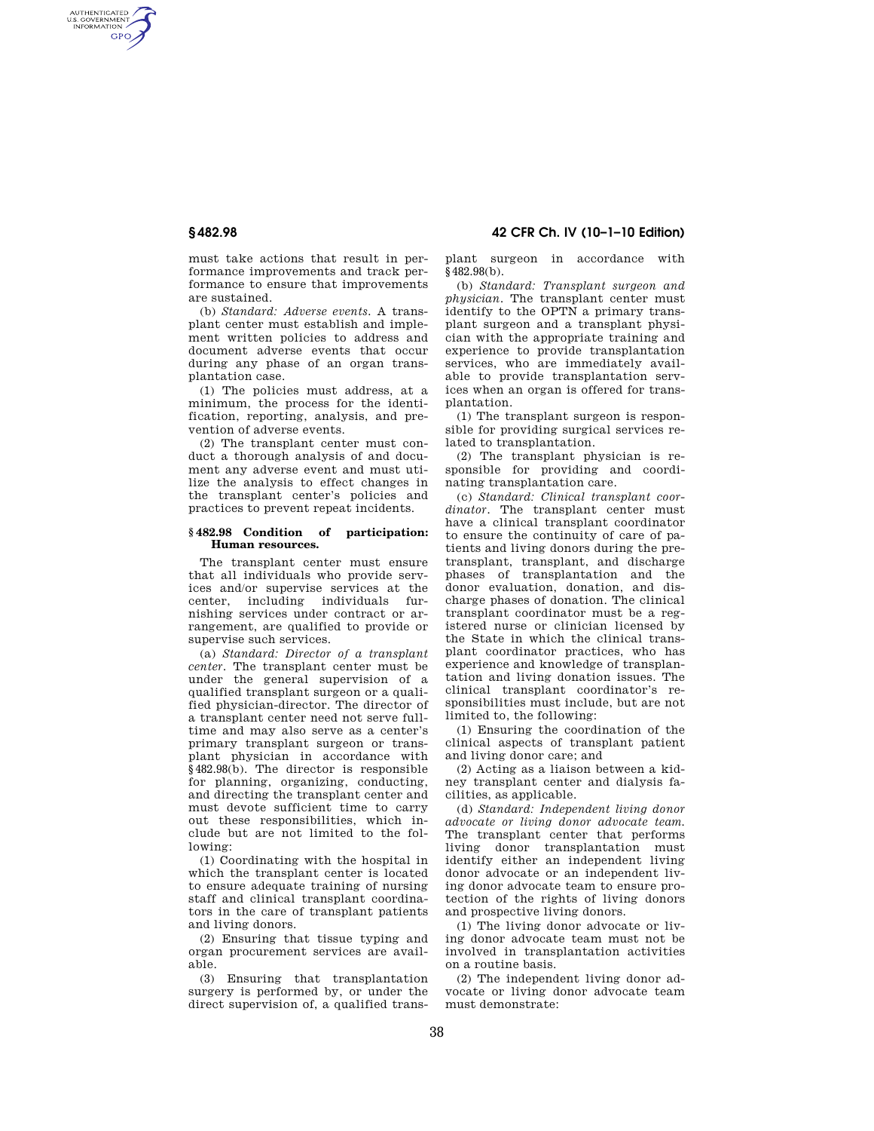AUTHENTICATED<br>U.S. GOVERNMENT<br>INFORMATION **GPO** 

> must take actions that result in performance improvements and track performance to ensure that improvements are sustained.

> (b) *Standard: Adverse events.* A transplant center must establish and implement written policies to address and document adverse events that occur during any phase of an organ transplantation case.

> (1) The policies must address, at a minimum, the process for the identification, reporting, analysis, and prevention of adverse events.

> (2) The transplant center must conduct a thorough analysis of and document any adverse event and must utilize the analysis to effect changes in the transplant center's policies and practices to prevent repeat incidents.

### **§ 482.98 Condition of participation: Human resources.**

The transplant center must ensure that all individuals who provide services and/or supervise services at the center, including individuals furnishing services under contract or arrangement, are qualified to provide or supervise such services.

(a) *Standard: Director of a transplant center.* The transplant center must be under the general supervision of a qualified transplant surgeon or a qualified physician-director. The director of a transplant center need not serve fulltime and may also serve as a center's primary transplant surgeon or transplant physician in accordance with §482.98(b). The director is responsible for planning, organizing, conducting, and directing the transplant center and must devote sufficient time to carry out these responsibilities, which include but are not limited to the following:

(1) Coordinating with the hospital in which the transplant center is located to ensure adequate training of nursing staff and clinical transplant coordinators in the care of transplant patients and living donors.

(2) Ensuring that tissue typing and organ procurement services are available.

(3) Ensuring that transplantation surgery is performed by, or under the direct supervision of, a qualified trans-

**§ 482.98 42 CFR Ch. IV (10–1–10 Edition)** 

plant surgeon in accordance with §482.98(b).

(b) *Standard: Transplant surgeon and physician.* The transplant center must identify to the OPTN a primary transplant surgeon and a transplant physician with the appropriate training and experience to provide transplantation services, who are immediately available to provide transplantation services when an organ is offered for transplantation.

(1) The transplant surgeon is responsible for providing surgical services related to transplantation.

(2) The transplant physician is responsible for providing and coordinating transplantation care.

(c) *Standard: Clinical transplant coor*dinator. The transplant center must have a clinical transplant coordinator to ensure the continuity of care of patients and living donors during the pretransplant, transplant, and discharge phases of transplantation and the donor evaluation, donation, and discharge phases of donation. The clinical transplant coordinator must be a registered nurse or clinician licensed by the State in which the clinical transplant coordinator practices, who has experience and knowledge of transplantation and living donation issues. The clinical transplant coordinator's responsibilities must include, but are not limited to, the following:

(1) Ensuring the coordination of the clinical aspects of transplant patient and living donor care; and

(2) Acting as a liaison between a kidney transplant center and dialysis facilities, as applicable.

(d) *Standard: Independent living donor advocate or living donor advocate team.*  The transplant center that performs living donor transplantation must identify either an independent living donor advocate or an independent living donor advocate team to ensure protection of the rights of living donors and prospective living donors.

(1) The living donor advocate or living donor advocate team must not be involved in transplantation activities on a routine basis.

(2) The independent living donor advocate or living donor advocate team must demonstrate: